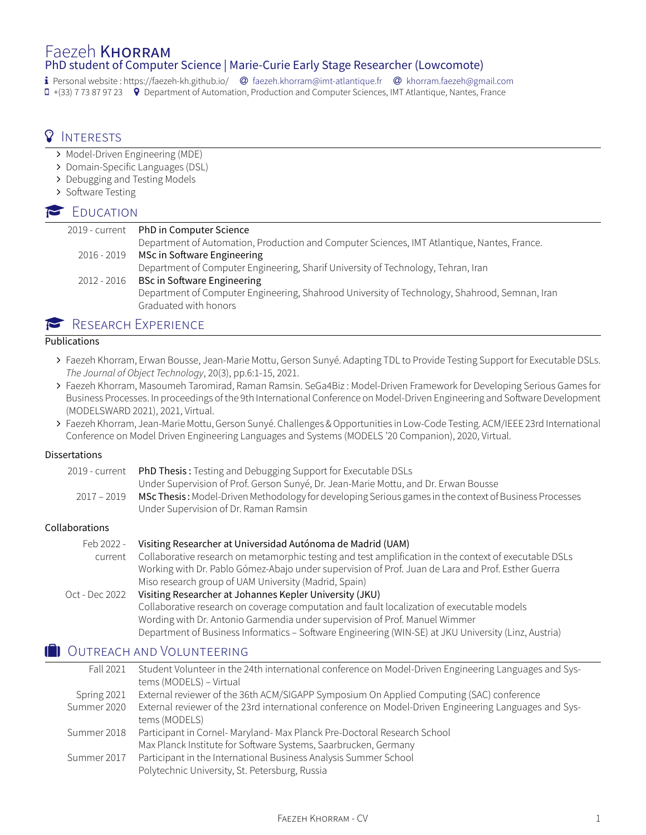### Faezeh KHORRAM PhD student of Computer Science | Marie-Curie Early Stage Researcher [\(Lowcomote\)](https://www.lowcomote.eu/)

� Personal website : https://faezeh-kh.github.io/ � [faezeh.khorram@imt-atlantique.fr](mailto:faezeh.khorram@imt-atlantique.fr) � [khorram.faezeh@gmail.com](mailto:khorram.faezeh@gmail.com) � +(33) 7 73 87 97 23 � Department of Automation, Production and Computer Sciences, IMT Atlantique, Nantes, France

# **Q** INTERESTS

- ∠ Model-Driven Engineering (MDE)
- ∠ Domain-Specific Languages (DSL)
- ∠ Debugging and Testing Models
- ∠ Software Testing

## **P** EDUCATION

| 2019 - current | PhD in Computer Science                                                                                                |
|----------------|------------------------------------------------------------------------------------------------------------------------|
|                | Department of Automation, Production and Computer Sciences, IMT Atlantique, Nantes, France.                            |
| 2016 - 2019    | MSc in Software Engineering                                                                                            |
|                | Department of Computer Engineering, Sharif University of Technology, Tehran, Iran                                      |
| 2012 - 2016    | <b>BSc in Software Engineering</b>                                                                                     |
|                | Department of Computer Engineering, Shahrood University of Technology, Shahrood, Semnan, Iran<br>Graduated with honors |
|                |                                                                                                                        |

# RESEARCH EXPERIENCE

#### **Publications**

- ∠ Faezeh Khorram, Erwan Bousse, Jean-Marie Mottu, Gerson Sunyé. Adapting TDL to Provide Testing Support for Executable DSLs. The Journal of Object Technology, 20(3), pp.6:1-15, 2021.
- ∠ Faezeh Khorram, Masoumeh Taromirad, Raman Ramsin. SeGa4Biz : Model-Driven Framework for Developing Serious Games for Business Processes. In proceedings of the 9th International Conference on Model-Driven Engineering and Software Development (MODELSWARD 2021), 2021, Virtual.
- ∠ Faezeh Khorram, Jean-Marie Mottu, Gerson Sunyé. Challenges & Opportunities in Low-Code Testing. ACM/IEEE 23rd International Conference on Model Driven Engineering Languages and Systems (MODELS '20 Companion), 2020, Virtual.

#### Dissertations

| 2019 - current | PhD Thesis: Testing and Debugging Support for Executable DSLs                                          |
|----------------|--------------------------------------------------------------------------------------------------------|
|                | Under Supervision of Prof. Gerson Sunyé, Dr. Jean-Marie Mottu, and Dr. Erwan Bousse                    |
| $2017 - 2019$  | MSc Thesis: Model-Driven Methodology for developing Serious games in the context of Business Processes |
|                | Under Supervision of Dr. Raman Ramsin                                                                  |

#### Collaborations

| Feb 2022 -     | Visiting Researcher at Universidad Autónoma de Madrid (UAM)                                            |
|----------------|--------------------------------------------------------------------------------------------------------|
| current        | Collaborative research on metamorphic testing and test amplification in the context of executable DSLs |
|                | Working with Dr. Pablo Gómez-Abajo under supervision of Prof. Juan de Lara and Prof. Esther Guerra     |
|                | Miso research group of UAM University (Madrid, Spain)                                                  |
| Oct - Dec 2022 | Visiting Researcher at Johannes Kepler University (JKU)                                                |
|                | Collaborative research on coverage computation and fault localization of executable models             |
|                | Wording with Dr. Antonio Garmendia under supervision of Prof. Manuel Wimmer                            |
|                | Department of Business Informatics - Software Engineering (WIN-SE) at JKU University (Linz, Austria)   |

### OUTREACH AND VOLUNTEERING

| Fall 2021   | Student Volunteer in the 24th international conference on Model-Driven Engineering Languages and Sys- |
|-------------|-------------------------------------------------------------------------------------------------------|
|             | tems (MODELS) - Virtual                                                                               |
| Spring 2021 | External reviewer of the 36th ACM/SIGAPP Symposium On Applied Computing (SAC) conference              |
| Summer 2020 | External reviewer of the 23rd international conference on Model-Driven Engineering Languages and Sys- |
|             | tems (MODELS)                                                                                         |
| Summer 2018 | Participant in Cornel-Maryland-Max Planck Pre-Doctoral Research School                                |
|             | Max Planck Institute for Software Systems, Saarbrucken, Germany                                       |
| Summer 2017 | Participant in the International Business Analysis Summer School                                      |
|             | Polytechnic University, St. Petersburg, Russia                                                        |